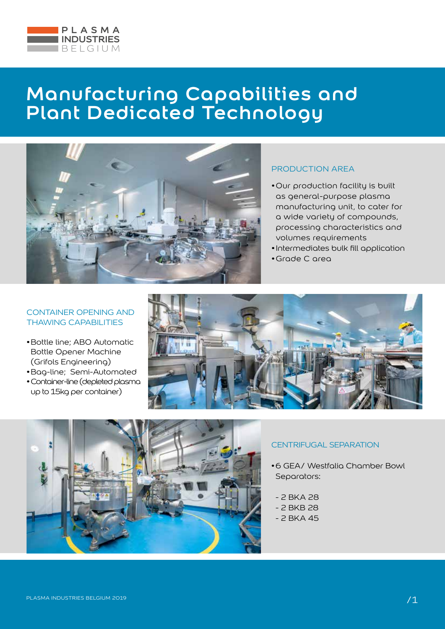



## PRODUCTION AREA

- •Our production facility is built as general-purpose plasma manufacturing unit, to cater for a wide variety of compounds, processing characteristics and volumes requirements
- •Intermediates bulk fill application
- •Grade C area

### CONTAINER OPENING AND THAWING CAPABILITIES

- •Bottle line; ABO Automatic Bottle Opener Machine (Grifols Engineering)
- •Bag-line; Semi-Automated
- •Container-line (depleted plasma up to 15kg per container)





### CENTRIFUGAL SEPARATION

- •6 GEA/ Westfalia Chamber Bowl Separators:
	- 2 BKA 28
	- 2 BKB 28
	- 2 BKA 45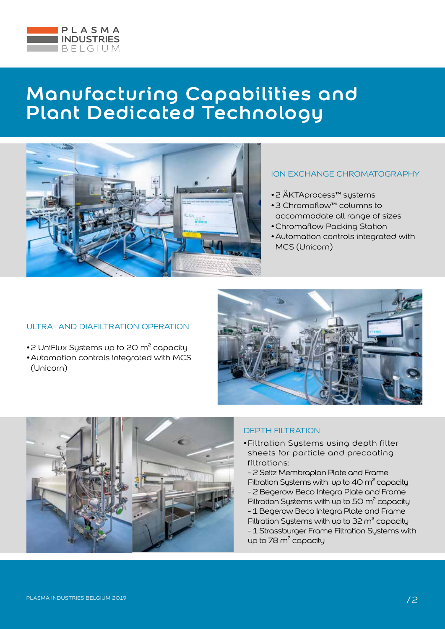



### ION EXCHANGE CHROMATOGRAPHY

- •2 ÄKTAprocess™ systems
- •3 Chromaflow™ columns to accommodate all range of sizes
- •Chromaflow Packing Station
- •Automation controls integrated with MCS (Unicorn)

#### ULTRA- AND DIAFILTRATION OPERATION

- •2 UniFlux Systems up to 20 m<sup>2</sup> capacity
- •Automation controls integrated with MCS (Unicorn)





## DEPTH FILTRATION

- •Filtration Systems using depth filter sheets for particle and precoating filtrations:
- 2 Seitz Membraplan Plate and Frame Filtration Systems with up to 40  $\text{m}^2$  capacity - 2 Begerow Beco Integra Plate and Frame Filtration Systems with up to 50  $\text{m}^2$  capacity - 1 Begerow Beco Integra Plate and Frame Filtration Systems with up to 32  $m^2$  capacity
- 1 Strassburger Frame Filtration Sustems with up to 78 m² capacity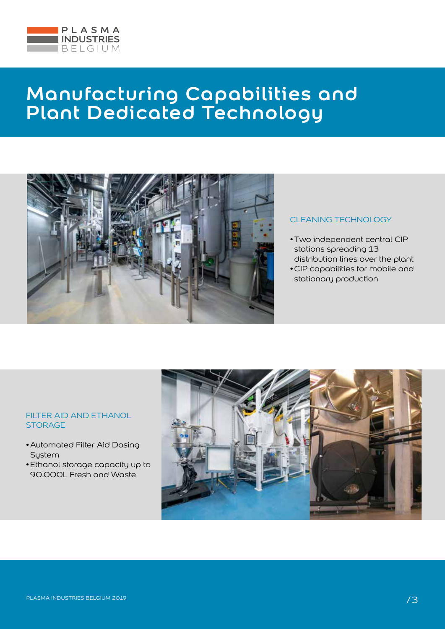



#### CLEANING TECHNOLOGY

- •Two independent central CIP stations spreading 13 distribution lines over the plant
- •CIP capabilities for mobile and stationary production

#### FILTER AID AND ETHANOL **STORAGE**

- •Automated Filter Aid Dosing **System**
- •Ethanol storage capacity up to 90.000L Fresh and Waste